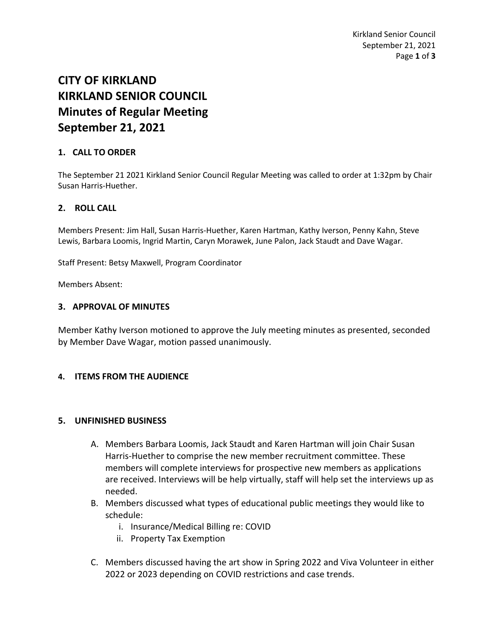# **CITY OF KIRKLAND KIRKLAND SENIOR COUNCIL Minutes of Regular Meeting September 21, 2021**

## **1. CALL TO ORDER**

The September 21 2021 Kirkland Senior Council Regular Meeting was called to order at 1:32pm by Chair Susan Harris-Huether.

## **2. ROLL CALL**

Members Present: Jim Hall, Susan Harris-Huether, Karen Hartman, Kathy Iverson, Penny Kahn, Steve Lewis, Barbara Loomis, Ingrid Martin, Caryn Morawek, June Palon, Jack Staudt and Dave Wagar.

Staff Present: Betsy Maxwell, Program Coordinator

Members Absent:

### **3. APPROVAL OF MINUTES**

Member Kathy Iverson motioned to approve the July meeting minutes as presented, seconded by Member Dave Wagar, motion passed unanimously.

### **4. ITEMS FROM THE AUDIENCE**

### **5. UNFINISHED BUSINESS**

- A. Members Barbara Loomis, Jack Staudt and Karen Hartman will join Chair Susan Harris-Huether to comprise the new member recruitment committee. These members will complete interviews for prospective new members as applications are received. Interviews will be help virtually, staff will help set the interviews up as needed.
- B. Members discussed what types of educational public meetings they would like to schedule:
	- i. Insurance/Medical Billing re: COVID
	- ii. Property Tax Exemption
- C. Members discussed having the art show in Spring 2022 and Viva Volunteer in either 2022 or 2023 depending on COVID restrictions and case trends.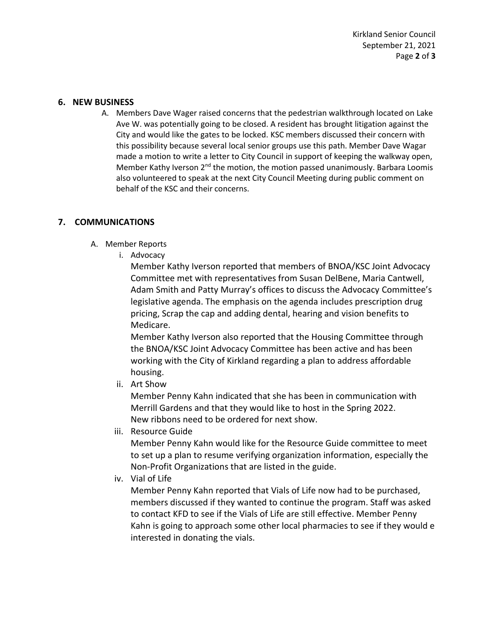Kirkland Senior Council September 21, 2021 Page **2** of **3**

#### **6. NEW BUSINESS**

A. Members Dave Wager raised concerns that the pedestrian walkthrough located on Lake Ave W. was potentially going to be closed. A resident has brought litigation against the City and would like the gates to be locked. KSC members discussed their concern with this possibility because several local senior groups use this path. Member Dave Wagar made a motion to write a letter to City Council in support of keeping the walkway open, Member Kathy Iverson  $2^{nd}$  the motion, the motion passed unanimously. Barbara Loomis also volunteered to speak at the next City Council Meeting during public comment on behalf of the KSC and their concerns.

### **7. COMMUNICATIONS**

- A. Member Reports
	- i. Advocacy

Member Kathy Iverson reported that members of BNOA/KSC Joint Advocacy Committee met with representatives from Susan DelBene, Maria Cantwell, Adam Smith and Patty Murray's offices to discuss the Advocacy Committee's legislative agenda. The emphasis on the agenda includes prescription drug pricing, Scrap the cap and adding dental, hearing and vision benefits to Medicare.

Member Kathy Iverson also reported that the Housing Committee through the BNOA/KSC Joint Advocacy Committee has been active and has been working with the City of Kirkland regarding a plan to address affordable housing.

ii. Art Show

Member Penny Kahn indicated that she has been in communication with Merrill Gardens and that they would like to host in the Spring 2022. New ribbons need to be ordered for next show.

iii. Resource Guide

Member Penny Kahn would like for the Resource Guide committee to meet to set up a plan to resume verifying organization information, especially the Non-Profit Organizations that are listed in the guide.

iv. Vial of Life

Member Penny Kahn reported that Vials of Life now had to be purchased, members discussed if they wanted to continue the program. Staff was asked to contact KFD to see if the Vials of Life are still effective. Member Penny Kahn is going to approach some other local pharmacies to see if they would e interested in donating the vials.